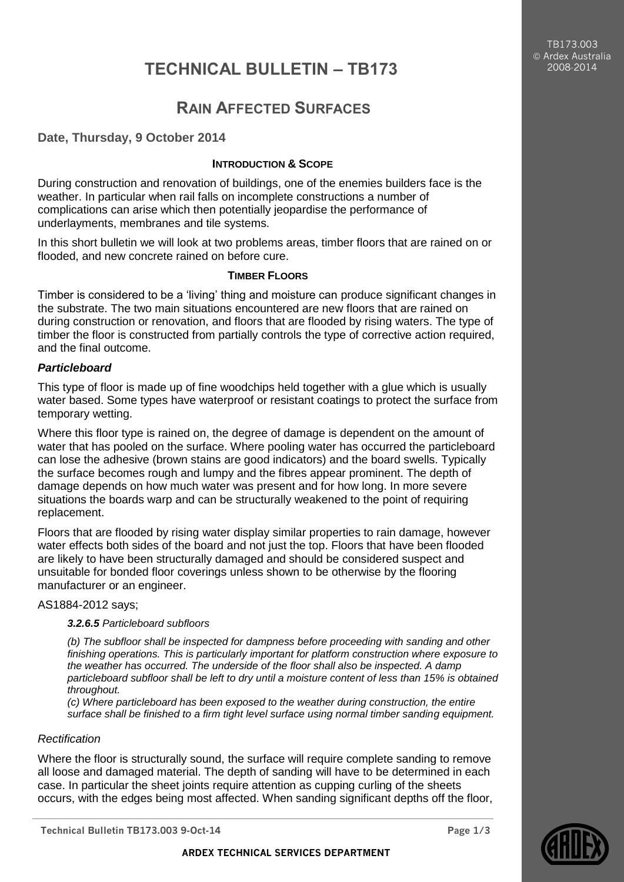TB173.003 Ardex Australia 2008-2014

# **TECHNICAL BULLETIN – TB173**

## **RAIN AFFECTED SURFACES**

## **Date, Thursday, 9 October 2014**

## **INTRODUCTION & SCOPE**

During construction and renovation of buildings, one of the enemies builders face is the weather. In particular when rail falls on incomplete constructions a number of complications can arise which then potentially jeopardise the performance of underlayments, membranes and tile systems.

In this short bulletin we will look at two problems areas, timber floors that are rained on or flooded, and new concrete rained on before cure.

## **TIMBER FLOORS**

Timber is considered to be a 'living' thing and moisture can produce significant changes in the substrate. The two main situations encountered are new floors that are rained on during construction or renovation, and floors that are flooded by rising waters. The type of timber the floor is constructed from partially controls the type of corrective action required, and the final outcome.

## *Particleboard*

This type of floor is made up of fine woodchips held together with a glue which is usually water based. Some types have waterproof or resistant coatings to protect the surface from temporary wetting.

Where this floor type is rained on, the degree of damage is dependent on the amount of water that has pooled on the surface. Where pooling water has occurred the particleboard can lose the adhesive (brown stains are good indicators) and the board swells. Typically the surface becomes rough and lumpy and the fibres appear prominent. The depth of damage depends on how much water was present and for how long. In more severe situations the boards warp and can be structurally weakened to the point of requiring replacement.

Floors that are flooded by rising water display similar properties to rain damage, however water effects both sides of the board and not just the top. Floors that have been flooded are likely to have been structurally damaged and should be considered suspect and unsuitable for bonded floor coverings unless shown to be otherwise by the flooring manufacturer or an engineer.

## AS1884-2012 says;

## *3.2.6.5 Particleboard subfloors*

*(b) The subfloor shall be inspected for dampness before proceeding with sanding and other finishing operations. This is particularly important for platform construction where exposure to the weather has occurred. The underside of the floor shall also be inspected. A damp particleboard subfloor shall be left to dry until a moisture content of less than 15% is obtained throughout.*

*(c) Where particleboard has been exposed to the weather during construction, the entire surface shall be finished to a firm tight level surface using normal timber sanding equipment.*

## *Rectification*

Where the floor is structurally sound, the surface will require complete sanding to remove all loose and damaged material. The depth of sanding will have to be determined in each case. In particular the sheet joints require attention as cupping curling of the sheets occurs, with the edges being most affected. When sanding significant depths off the floor,

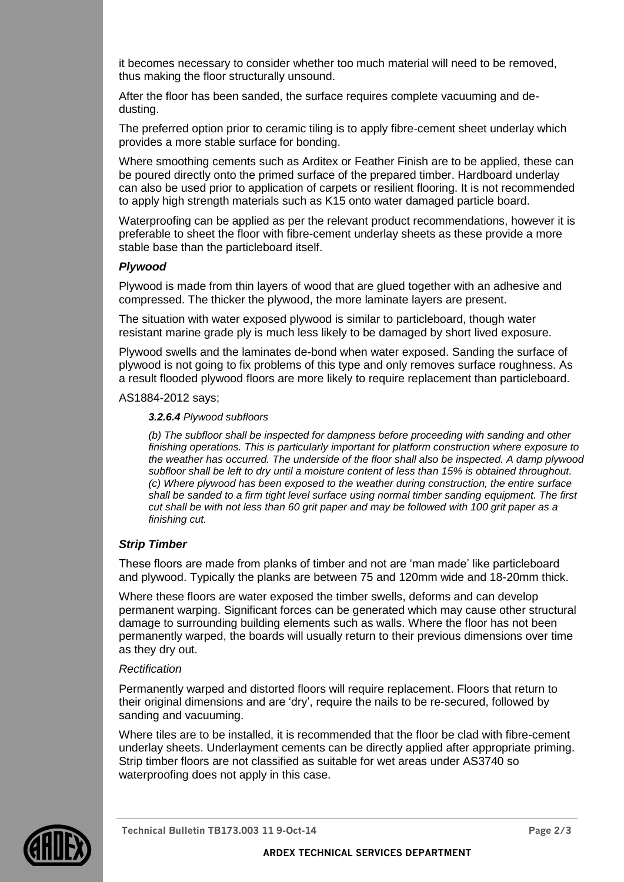it becomes necessary to consider whether too much material will need to be removed, thus making the floor structurally unsound.

After the floor has been sanded, the surface requires complete vacuuming and dedusting.

The preferred option prior to ceramic tiling is to apply fibre-cement sheet underlay which provides a more stable surface for bonding.

Where smoothing cements such as Arditex or Feather Finish are to be applied, these can be poured directly onto the primed surface of the prepared timber. Hardboard underlay can also be used prior to application of carpets or resilient flooring. It is not recommended to apply high strength materials such as K15 onto water damaged particle board.

Waterproofing can be applied as per the relevant product recommendations, however it is preferable to sheet the floor with fibre-cement underlay sheets as these provide a more stable base than the particleboard itself.

## *Plywood*

Plywood is made from thin layers of wood that are glued together with an adhesive and compressed. The thicker the plywood, the more laminate layers are present.

The situation with water exposed plywood is similar to particleboard, though water resistant marine grade ply is much less likely to be damaged by short lived exposure.

Plywood swells and the laminates de-bond when water exposed. Sanding the surface of plywood is not going to fix problems of this type and only removes surface roughness. As a result flooded plywood floors are more likely to require replacement than particleboard.

AS1884-2012 says;

*3.2.6.4 Plywood subfloors*

*(b) The subfloor shall be inspected for dampness before proceeding with sanding and other finishing operations. This is particularly important for platform construction where exposure to the weather has occurred. The underside of the floor shall also be inspected. A damp plywood subfloor shall be left to dry until a moisture content of less than 15% is obtained throughout. (c) Where plywood has been exposed to the weather during construction, the entire surface shall be sanded to a firm tight level surface using normal timber sanding equipment. The first cut shall be with not less than 60 grit paper and may be followed with 100 grit paper as a finishing cut.*

## *Strip Timber*

These floors are made from planks of timber and not are 'man made' like particleboard and plywood. Typically the planks are between 75 and 120mm wide and 18-20mm thick.

Where these floors are water exposed the timber swells, deforms and can develop permanent warping. Significant forces can be generated which may cause other structural damage to surrounding building elements such as walls. Where the floor has not been permanently warped, the boards will usually return to their previous dimensions over time as they dry out.

## *Rectification*

Permanently warped and distorted floors will require replacement. Floors that return to their original dimensions and are 'dry', require the nails to be re-secured, followed by sanding and vacuuming.

Where tiles are to be installed, it is recommended that the floor be clad with fibre-cement underlay sheets. Underlayment cements can be directly applied after appropriate priming. Strip timber floors are not classified as suitable for wet areas under AS3740 so waterproofing does not apply in this case.



**Technical Bulletin TB173.003 11 9-Oct-14 Page 2/3**